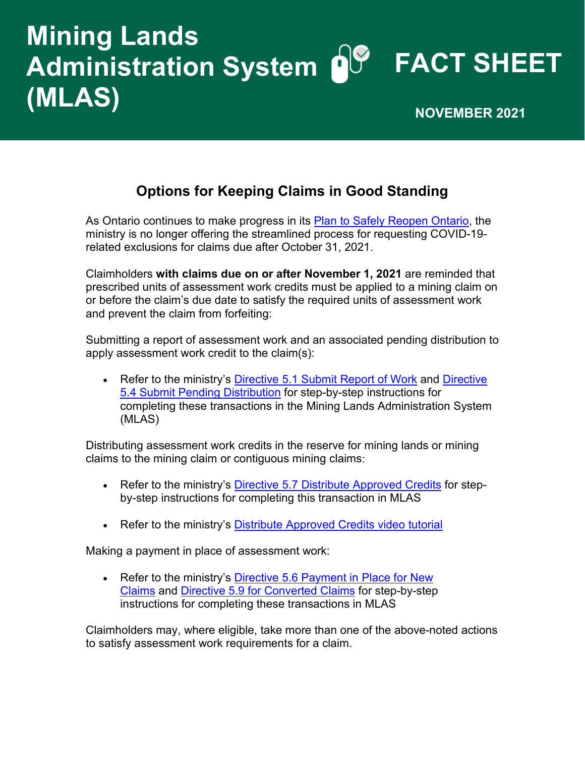# **FACT SHEET Administration System Mining Lands (MLAS)** NOVEMBER 2021

### **Options for Keeping Claims in Good Standing**

As Ontario continues to make progress in its [Plan to Safely Reopen Ontario,](https://covid-19.ontario.ca/plan-safely-reopen-ontario-and-manage-covid-19-long-term) the ministry is no longer offering the streamlined process for requesting COVID-19 related exclusions for claims due after October 31, 2021.

Claimholders **with claims due on or after November 1, 2021** are reminded that prescribed units of assessment work credits must be applied to a mining claim on or before the claim's due date to satisfy the required units of assessment work and prevent the claim from forfeiting:

Submitting a report of assessment work and an associated pending distribution to apply assessment work credit to the claim(s):

• Refer to the ministry's [Directive 5.1 Submit Report of Work](https://www.mndm.gov.on.ca/en/mines-and-minerals/mlas/directive5-1-submit-report-of-work) and Directive [5.4 Submit Pending Distribution](https://www.mndm.gov.on.ca/en/mines-and-minerals/mlas/directive5-4-submit-pending-distribution) for step-by-step instructions for completing these transactions in the Mining Lands Administration System (MLAS)

Distributing assessment work credits in the reserve for mining lands or mining claims to the mining claim or contiguous mining claims:

- Refer to the ministry's [Directive 5.7 Distribute Approved Credits](https://www.mndm.gov.on.ca/en/mines-and-minerals/mlas/directive5-7-distribute-approved-credits) for stepby-step instructions for completing this transaction in MLAS
- Refer to the ministry's [Distribute Approved Credits video tutorial](https://www.youtube.com/watch?v=6J3Nh0t4CC8)

Making a payment in place of assessment work:

• Refer to the ministry's Directive 5.6 Payment in Place for New [Claims](https://www.mndm.gov.on.ca/en/mines-and-minerals/mlas/directive5-6-payment-in-place-for-new-claims) and [Directive 5.9 for Converted Claims](https://www.mndm.gov.on.ca/en/mines-and-minerals/mlas/directive5-9-payment-in-place-for-converted-claims) for step-by-step instructions for completing these transactions in MLAS

Claimholders may, where eligible, take more than one of the above-noted actions to satisfy assessment work requirements for a claim.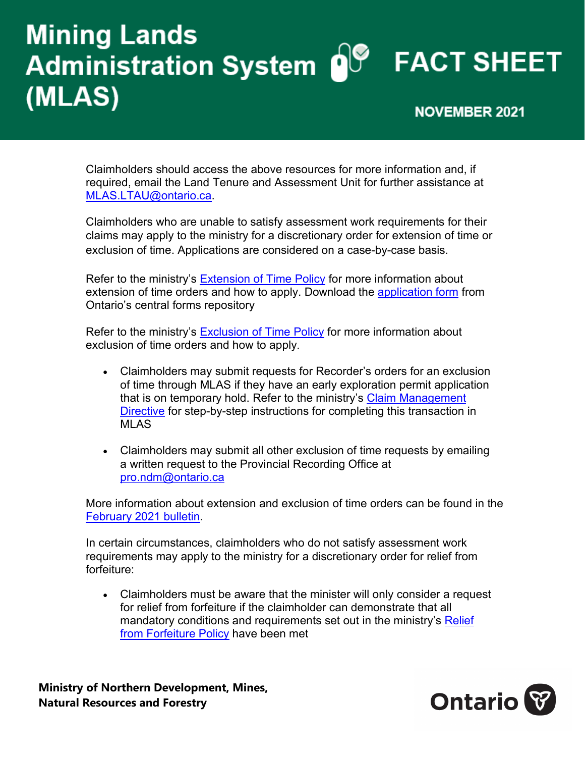# **Mining Lands** Administration System O<sup>®</sup> FACT SHEET (MLAS) **NOVEMBER 2021**

Claimholders should access the above resources for more information and, if required, email the Land Tenure and Assessment Unit for further assistance at [MLAS.LTAU@ontario.ca.](mailto:MLAS.LTAU@ontario.ca)

Claimholders who are unable to satisfy assessment work requirements for their claims may apply to the ministry for a discretionary order for extension of time or exclusion of time. Applications are considered on a case-by-case basis.

Refer to the ministry's [Extension of Time Policy](http://www.geologyontario.mndm.gov.on.ca/mines/lands/policies/extension_of_time_policy_e.html) for more information about extension of time orders and how to apply. Download the [application form](https://www.forms.ssb.gov.on.ca/mbs/ssb/forms/ssbforms.nsf/MinistryDetail?OpenForm&ACT=RDR&TAB=PROFILE&ENV=WWE&NO=019-0044E) from Ontario's central forms repository

Refer to the ministry's [Exclusion of Time Policy](http://www.geologyontario.mndm.gov.on.ca/mines/lands/policies/exclusion_of_time_policy_e.html) for more information about exclusion of time orders and how to apply.

- Claimholders may submit requests for Recorder's orders for an exclusion of time through MLAS if they have an early exploration permit application that is on temporary hold. Refer to the ministry's [Claim Management](https://www.mndm.gov.on.ca/en/mines-and-minerals/mlas/directive4-claim-management#simple-table-of-contents-9)  [Directive](https://www.mndm.gov.on.ca/en/mines-and-minerals/mlas/directive4-claim-management#simple-table-of-contents-9) for step-by-step instructions for completing this transaction in MLAS
- Claimholders may submit all other exclusion of time requests by emailing a written request to the Provincial Recording Office at [pro.ndm@ontario.ca](mailto:pro.ndm@ontario.ca)

More information about extension and exclusion of time orders can be found in the [February 2021](https://www.mndm.gov.on.ca/en/news/mines-and-minerals/mlas-update-february-12-2021) bulletin.

In certain circumstances, claimholders who do not satisfy assessment work requirements may apply to the ministry for a discretionary order for relief from forfeiture:

• Claimholders must be aware that the minister will only consider a request for relief from forfeiture if the claimholder can demonstrate that all mandatory conditions and requirements set out in the ministry's [Relief](http://www.geologyontario.mndm.gov.on.ca/mines/lands/policies/relief_from_forfeiture_unpatented_policy_e.html)  [from Forfeiture Policy](http://www.geologyontario.mndm.gov.on.ca/mines/lands/policies/relief_from_forfeiture_unpatented_policy_e.html) have been met

**Ministry of Northern Development, Mines, Natural Resources and Forestry**